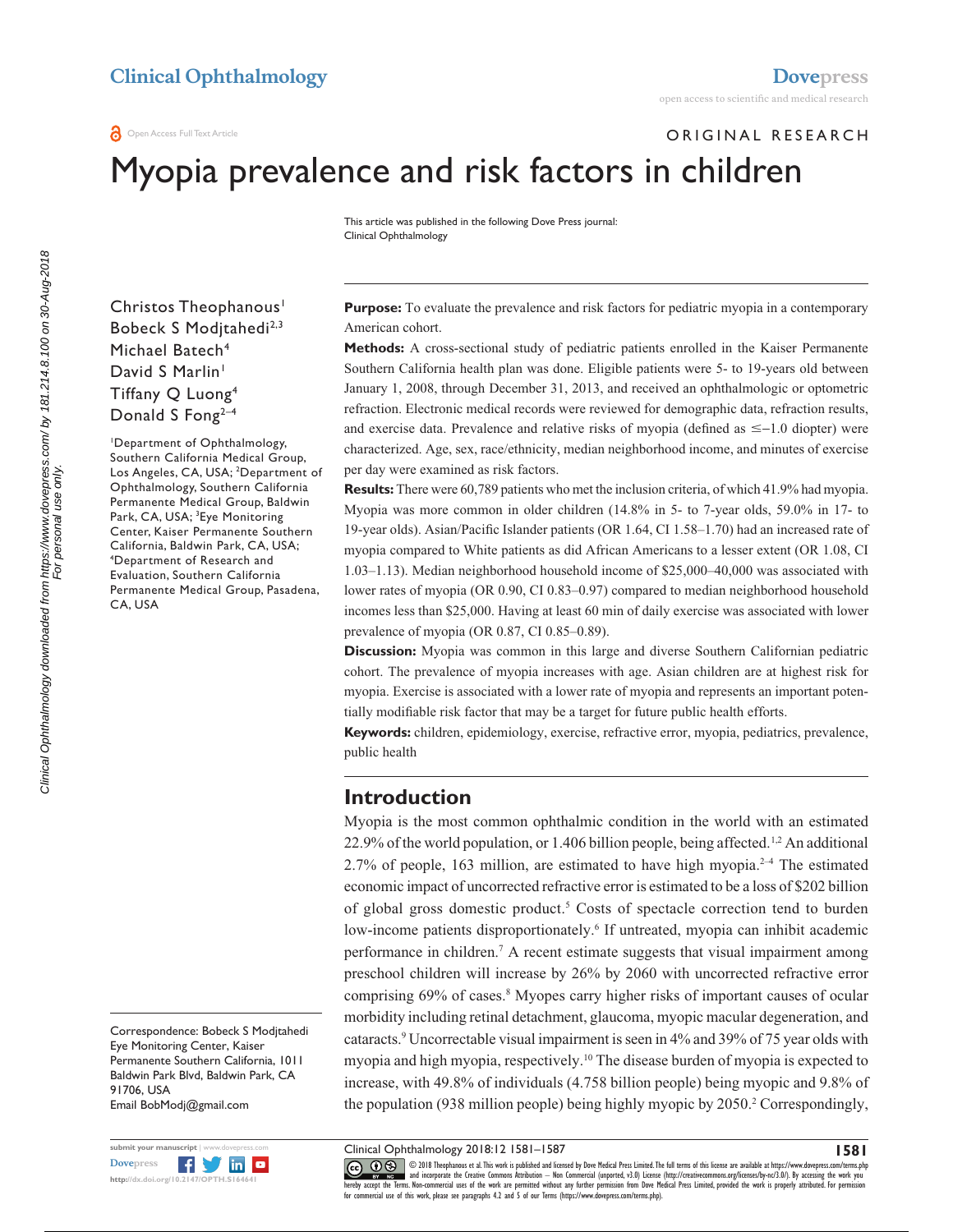Open Access Full Text Article

ORIGINAL RESEARCH

# Myopia prevalence and risk factors in children

This article was published in the following Dove Press journal: Clinical Ophthalmology

Christos Theophanous<sup>1</sup> Bobeck S Moditahedi<sup>2,3</sup> Michael Batech<sup>4</sup> David S Marlin<sup>1</sup> Tiffany Q Luong4 Donald S Fong<sup>2-4</sup>

1 Department of Ophthalmology, Southern California Medical Group, Los Angeles, CA, USA; 2 Department of Ophthalmology, Southern California Permanente Medical Group, Baldwin Park, CA, USA; <sup>3</sup>Eye Monitoring Center, Kaiser Permanente Southern California, Baldwin Park, CA, USA; 4 Department of Research and Evaluation, Southern California Permanente Medical Group, Pasadena, CA, USA

Correspondence: Bobeck S Modjtahedi Eye Monitoring Center, Kaiser Permanente Southern California, 1011 Baldwin Park Blvd, Baldwin Park, CA 91706, USA Email [BobModj@gmail.com](mailto:BobModj@gmail.com)



**Purpose:** To evaluate the prevalence and risk factors for pediatric myopia in a contemporary American cohort.

**Methods:** A cross-sectional study of pediatric patients enrolled in the Kaiser Permanente Southern California health plan was done. Eligible patients were 5- to 19-years old between January 1, 2008, through December 31, 2013, and received an ophthalmologic or optometric refraction. Electronic medical records were reviewed for demographic data, refraction results, and exercise data. Prevalence and relative risks of myopia (defined as  $\leq -1.0$  diopter) were characterized. Age, sex, race/ethnicity, median neighborhood income, and minutes of exercise per day were examined as risk factors.

**Results:** There were 60,789 patients who met the inclusion criteria, of which 41.9% had myopia. Myopia was more common in older children (14.8% in 5- to 7-year olds, 59.0% in 17- to 19-year olds). Asian/Pacific Islander patients (OR 1.64, CI 1.58–1.70) had an increased rate of myopia compared to White patients as did African Americans to a lesser extent (OR 1.08, CI 1.03–1.13). Median neighborhood household income of \$25,000–40,000 was associated with lower rates of myopia (OR 0.90, CI 0.83–0.97) compared to median neighborhood household incomes less than \$25,000. Having at least 60 min of daily exercise was associated with lower prevalence of myopia (OR 0.87, CI 0.85–0.89).

**Discussion:** Myopia was common in this large and diverse Southern Californian pediatric cohort. The prevalence of myopia increases with age. Asian children are at highest risk for myopia. Exercise is associated with a lower rate of myopia and represents an important potentially modifiable risk factor that may be a target for future public health efforts.

**Keywords:** children, epidemiology, exercise, refractive error, myopia, pediatrics, prevalence, public health

### **Introduction**

Myopia is the most common ophthalmic condition in the world with an estimated 22.9% of the world population, or 1.406 billion people, being affected.<sup>1,2</sup> An additional 2.7% of people, 163 million, are estimated to have high myopia.<sup>2-4</sup> The estimated economic impact of uncorrected refractive error is estimated to be a loss of \$202 billion of global gross domestic product.<sup>5</sup> Costs of spectacle correction tend to burden low-income patients disproportionately.<sup>6</sup> If untreated, myopia can inhibit academic performance in children.7 A recent estimate suggests that visual impairment among preschool children will increase by 26% by 2060 with uncorrected refractive error comprising 69% of cases.<sup>8</sup> Myopes carry higher risks of important causes of ocular morbidity including retinal detachment, glaucoma, myopic macular degeneration, and cataracts.9 Uncorrectable visual impairment is seen in 4% and 39% of 75 year olds with myopia and high myopia, respectively.10 The disease burden of myopia is expected to increase, with 49.8% of individuals (4.758 billion people) being myopic and 9.8% of the population (938 million people) being highly myopic by 2050.<sup>2</sup> Correspondingly,

Clinical Ophthalmology 2018:12 1581–1587

**1581**

Clinical Ophthalmology downloaded from https://www.dovepress.com/ by 181.214.8.100 on 30-Aug-2018<br>For personal use only. Clinical Ophthalmology downloaded from https://www.dovepress.com/ by 181.214.8.100 on 30-Aug-2018 For personal use only.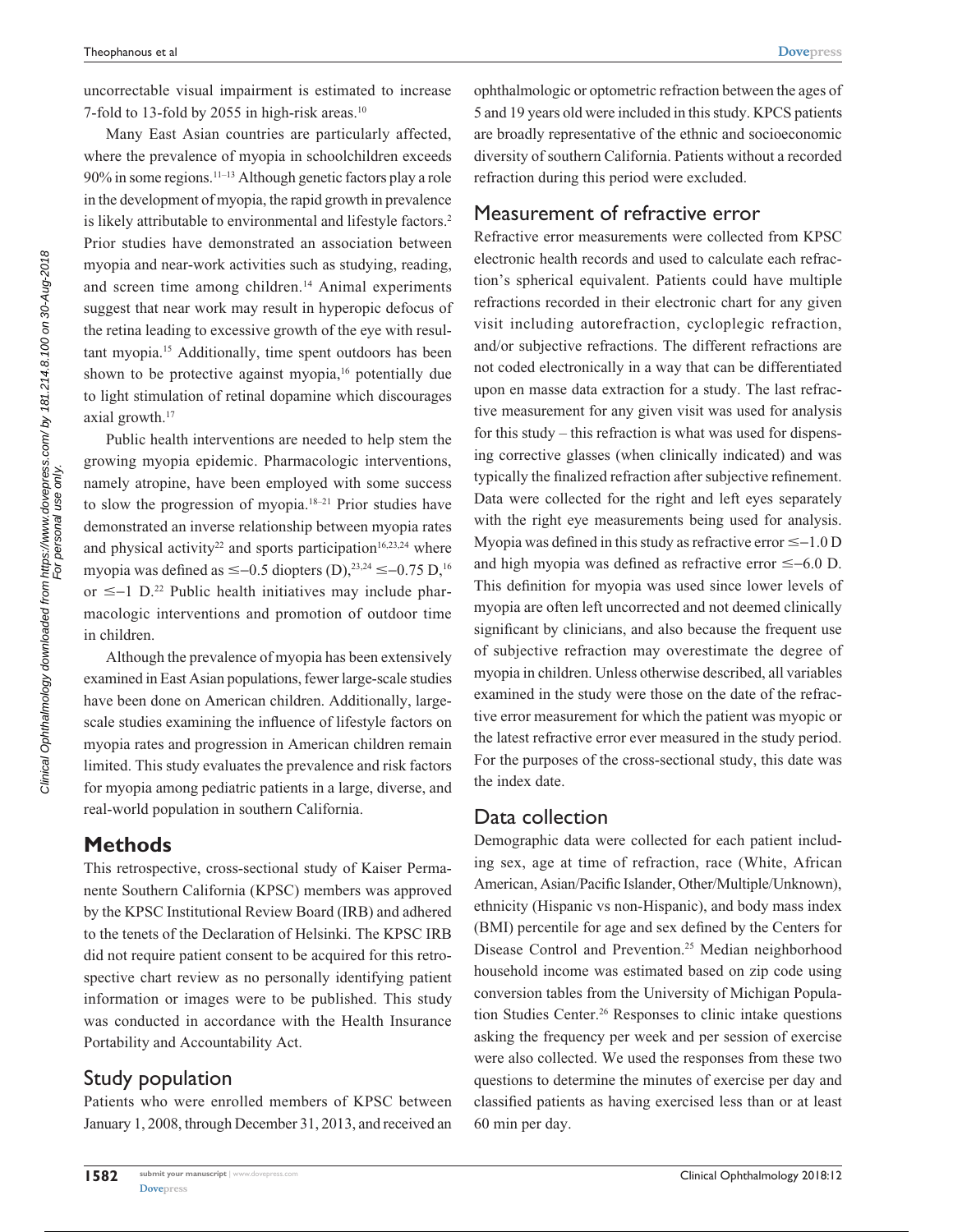uncorrectable visual impairment is estimated to increase 7-fold to 13-fold by 2055 in high-risk areas.10

Many East Asian countries are particularly affected, where the prevalence of myopia in schoolchildren exceeds 90% in some regions.11–13 Although genetic factors play a role in the development of myopia, the rapid growth in prevalence is likely attributable to environmental and lifestyle factors.<sup>2</sup> Prior studies have demonstrated an association between myopia and near-work activities such as studying, reading, and screen time among children.<sup>14</sup> Animal experiments suggest that near work may result in hyperopic defocus of the retina leading to excessive growth of the eye with resultant myopia.15 Additionally, time spent outdoors has been shown to be protective against myopia,<sup>16</sup> potentially due to light stimulation of retinal dopamine which discourages axial growth.17

Public health interventions are needed to help stem the growing myopia epidemic. Pharmacologic interventions, namely atropine, have been employed with some success to slow the progression of myopia.18–21 Prior studies have demonstrated an inverse relationship between myopia rates and physical activity<sup>22</sup> and sports participation<sup>16,23,24</sup> where myopia was defined as  $\leq -0.5$  diopters (D),<sup>23,24</sup>  $\leq -0.75$  D,<sup>16</sup> or  $\leq -1$  D.<sup>22</sup> Public health initiatives may include pharmacologic interventions and promotion of outdoor time in children.

Although the prevalence of myopia has been extensively examined in East Asian populations, fewer large-scale studies have been done on American children. Additionally, largescale studies examining the influence of lifestyle factors on myopia rates and progression in American children remain limited. This study evaluates the prevalence and risk factors for myopia among pediatric patients in a large, diverse, and real-world population in southern California.

# **Methods**

This retrospective, cross-sectional study of Kaiser Permanente Southern California (KPSC) members was approved by the KPSC Institutional Review Board (IRB) and adhered to the tenets of the Declaration of Helsinki. The KPSC IRB did not require patient consent to be acquired for this retrospective chart review as no personally identifying patient information or images were to be published. This study was conducted in accordance with the Health Insurance Portability and Accountability Act.

### Study population

Patients who were enrolled members of KPSC between January 1, 2008, through December 31, 2013, and received an ophthalmologic or optometric refraction between the ages of 5 and 19 years old were included in this study. KPCS patients are broadly representative of the ethnic and socioeconomic diversity of southern California. Patients without a recorded refraction during this period were excluded.

# Measurement of refractive error

Refractive error measurements were collected from KPSC electronic health records and used to calculate each refraction's spherical equivalent. Patients could have multiple refractions recorded in their electronic chart for any given visit including autorefraction, cycloplegic refraction, and/or subjective refractions. The different refractions are not coded electronically in a way that can be differentiated upon en masse data extraction for a study. The last refractive measurement for any given visit was used for analysis for this study – this refraction is what was used for dispensing corrective glasses (when clinically indicated) and was typically the finalized refraction after subjective refinement. Data were collected for the right and left eyes separately with the right eye measurements being used for analysis. Myopia was defined in this study as refractive error  $\leq -1.0$  D and high myopia was defined as refractive error  $\leq -6.0$  D. This definition for myopia was used since lower levels of myopia are often left uncorrected and not deemed clinically significant by clinicians, and also because the frequent use of subjective refraction may overestimate the degree of myopia in children. Unless otherwise described, all variables examined in the study were those on the date of the refractive error measurement for which the patient was myopic or the latest refractive error ever measured in the study period. For the purposes of the cross-sectional study, this date was the index date.

# Data collection

Demographic data were collected for each patient including sex, age at time of refraction, race (White, African American, Asian/Pacific Islander, Other/Multiple/Unknown), ethnicity (Hispanic vs non-Hispanic), and body mass index (BMI) percentile for age and sex defined by the Centers for Disease Control and Prevention.<sup>25</sup> Median neighborhood household income was estimated based on zip code using conversion tables from the University of Michigan Population Studies Center.<sup>26</sup> Responses to clinic intake questions asking the frequency per week and per session of exercise were also collected. We used the responses from these two questions to determine the minutes of exercise per day and classified patients as having exercised less than or at least 60 min per day.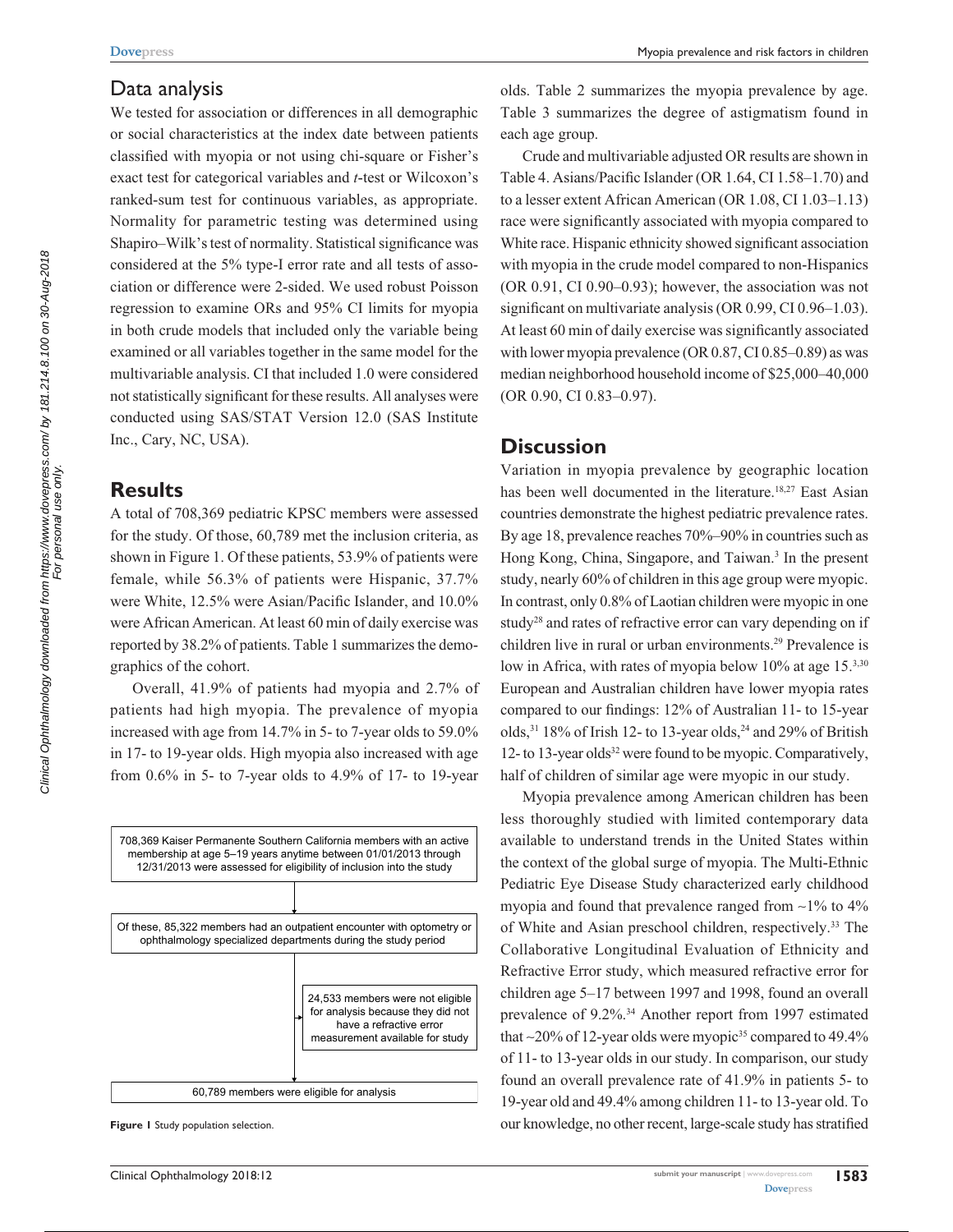## Data analysis

We tested for association or differences in all demographic or social characteristics at the index date between patients classified with myopia or not using chi-square or Fisher's exact test for categorical variables and *t*-test or Wilcoxon's ranked-sum test for continuous variables, as appropriate. Normality for parametric testing was determined using Shapiro–Wilk's test of normality. Statistical significance was considered at the 5% type-I error rate and all tests of association or difference were 2-sided. We used robust Poisson regression to examine ORs and 95% CI limits for myopia in both crude models that included only the variable being examined or all variables together in the same model for the multivariable analysis. CI that included 1.0 were considered not statistically significant for these results. All analyses were conducted using SAS/STAT Version 12.0 (SAS Institute Inc., Cary, NC, USA).

# **Results**

A total of 708,369 pediatric KPSC members were assessed for the study. Of those, 60,789 met the inclusion criteria, as shown in Figure 1. Of these patients, 53.9% of patients were female, while 56.3% of patients were Hispanic, 37.7% were White, 12.5% were Asian/Pacific Islander, and 10.0% were African American. At least 60 min of daily exercise was reported by 38.2% of patients. Table 1 summarizes the demographics of the cohort.

Overall, 41.9% of patients had myopia and 2.7% of patients had high myopia. The prevalence of myopia increased with age from 14.7% in 5- to 7-year olds to 59.0% in 17- to 19-year olds. High myopia also increased with age from 0.6% in 5- to 7-year olds to 4.9% of 17- to 19-year



olds. Table 2 summarizes the myopia prevalence by age. Table 3 summarizes the degree of astigmatism found in each age group.

Crude and multivariable adjusted OR results are shown in Table 4. Asians/Pacific Islander (OR 1.64, CI 1.58–1.70) and to a lesser extent African American (OR 1.08, CI 1.03–1.13) race were significantly associated with myopia compared to White race. Hispanic ethnicity showed significant association with myopia in the crude model compared to non-Hispanics (OR 0.91, CI 0.90–0.93); however, the association was not significant on multivariate analysis (OR 0.99, CI 0.96–1.03). At least 60 min of daily exercise was significantly associated with lower myopia prevalence (OR 0.87, CI 0.85–0.89) as was median neighborhood household income of \$25,000–40,000 (OR 0.90, CI 0.83–0.97).

# **Discussion**

Variation in myopia prevalence by geographic location has been well documented in the literature.<sup>18,27</sup> East Asian countries demonstrate the highest pediatric prevalence rates. By age 18, prevalence reaches 70%–90% in countries such as Hong Kong, China, Singapore, and Taiwan.<sup>3</sup> In the present study, nearly 60% of children in this age group were myopic. In contrast, only 0.8% of Laotian children were myopic in one study<sup>28</sup> and rates of refractive error can vary depending on if children live in rural or urban environments.<sup>29</sup> Prevalence is low in Africa, with rates of myopia below 10% at age 15.<sup>3,30</sup> European and Australian children have lower myopia rates compared to our findings: 12% of Australian 11- to 15-year olds, $31$  18% of Irish 12- to 13-year olds, $24$  and 29% of British 12- to 13-year olds<sup>32</sup> were found to be myopic. Comparatively, half of children of similar age were myopic in our study.

Myopia prevalence among American children has been less thoroughly studied with limited contemporary data available to understand trends in the United States within the context of the global surge of myopia. The Multi-Ethnic Pediatric Eye Disease Study characterized early childhood myopia and found that prevalence ranged from  $\sim$ 1% to 4% of White and Asian preschool children, respectively.33 The Collaborative Longitudinal Evaluation of Ethnicity and Refractive Error study, which measured refractive error for children age 5–17 between 1997 and 1998, found an overall prevalence of 9.2%.34 Another report from 1997 estimated that  $\sim$ 20% of 12-year olds were myopic<sup>35</sup> compared to 49.4% of 11- to 13-year olds in our study. In comparison, our study found an overall prevalence rate of 41.9% in patients 5- to 19-year old and 49.4% among children 11- to 13-year old. To **Figure 1** Study population selection. **our knowledge, no other recent**, large-scale study has stratified

For personal use only.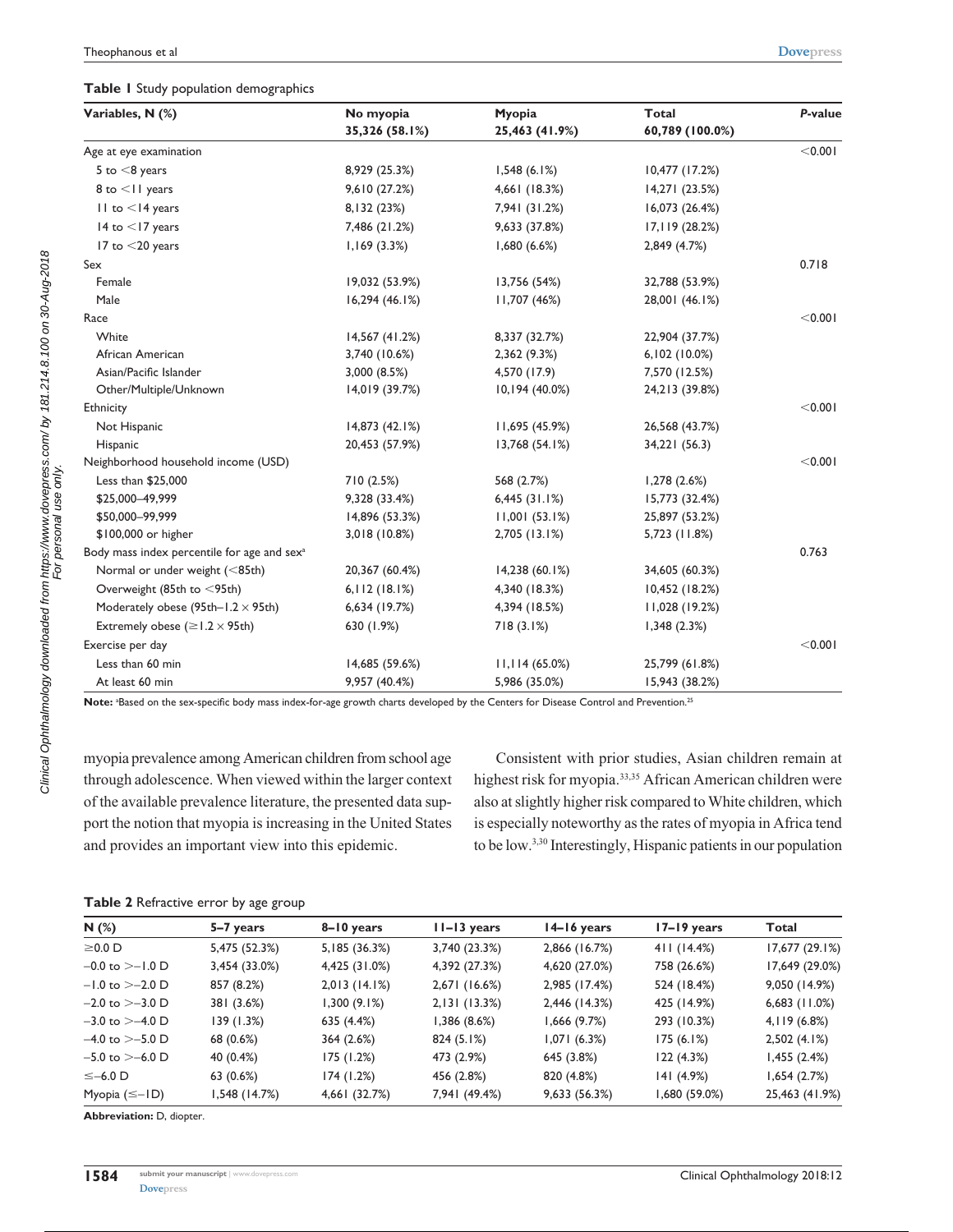#### **Table 1** Study population demographics

| Variables, N (%)                                        | No myopia      | <b>Myopia</b>     | <b>Total</b>    | P-value |
|---------------------------------------------------------|----------------|-------------------|-----------------|---------|
|                                                         | 35,326 (58.1%) | 25,463 (41.9%)    | 60,789 (100.0%) |         |
| Age at eye examination                                  |                |                   |                 | < 0.001 |
| 5 to $<$ 8 years                                        | 8,929 (25.3%)  | 1,548(6.1%)       | 10,477 (17.2%)  |         |
| $8$ to $<$ I lyears                                     | 9,610 (27.2%)  | 4,661 (18.3%)     | 14,271 (23.5%)  |         |
| $11$ to $\leq$ 14 years                                 | 8,132 (23%)    | 7,941 (31.2%)     | 16,073 (26.4%)  |         |
| 14 to $<$ 17 years                                      | 7,486 (21.2%)  | 9,633 (37.8%)     | 17,119 (28.2%)  |         |
| 17 to $<$ 20 years                                      | 1,169(3.3%)    | 1,680(6.6%)       | 2,849 (4.7%)    |         |
| Sex                                                     |                |                   |                 | 0.718   |
| Female                                                  | 19,032 (53.9%) | 13,756 (54%)      | 32,788 (53.9%)  |         |
| Male                                                    | 16,294(46.1%)  | 11,707(46%)       | 28,001 (46.1%)  |         |
| Race                                                    |                |                   |                 | < 0.001 |
| White                                                   | 14,567 (41.2%) | 8,337 (32.7%)     | 22,904 (37.7%)  |         |
| African American                                        | 3,740 (10.6%)  | 2,362 (9.3%)      | $6,102(10.0\%)$ |         |
| Asian/Pacific Islander                                  | 3,000 (8.5%)   | 4,570 (17.9)      | 7,570 (12.5%)   |         |
| Other/Multiple/Unknown                                  | 14,019 (39.7%) | 10,194 (40.0%)    | 24,213 (39.8%)  |         |
| Ethnicity                                               |                |                   |                 | < 0.001 |
| Not Hispanic                                            | 14,873 (42.1%) | 11,695 (45.9%)    | 26,568 (43.7%)  |         |
| Hispanic                                                | 20,453 (57.9%) | 13,768 (54.1%)    | 34,221 (56.3)   |         |
| Neighborhood household income (USD)                     |                |                   |                 | < 0.001 |
| Less than \$25,000                                      | 710 (2.5%)     | 568 (2.7%)        | 1,278(2.6%)     |         |
| \$25,000-49,999                                         | 9,328 (33.4%)  | $6,445$ $(31.1%)$ | 15,773 (32.4%)  |         |
| \$50,000-99,999                                         | 14,896 (53.3%) | 11,001(53.1%)     | 25,897 (53.2%)  |         |
| \$100,000 or higher                                     | 3,018 (10.8%)  | 2,705 (13.1%)     | 5,723 (11.8%)   |         |
| Body mass index percentile for age and sex <sup>a</sup> |                |                   |                 | 0.763   |
| Normal or under weight (<85th)                          | 20,367 (60.4%) | 14,238 (60.1%)    | 34,605 (60.3%)  |         |
| Overweight (85th to <95th)                              | 6,112(18.1%)   | 4,340 (18.3%)     | 10,452 (18.2%)  |         |
| Moderately obese (95th-1.2 $\times$ 95th)               | 6,634 (19.7%)  | 4,394 (18.5%)     | 11,028 (19.2%)  |         |
| Extremely obese ( $\geq$ 1.2 $\times$ 95th)             | 630 (1.9%)     | 718(3.1%)         | 1,348(2.3%)     |         |
| Exercise per day                                        |                |                   |                 | < 0.001 |
| Less than 60 min                                        | 14,685 (59.6%) | 11,114(65.0%)     | 25,799 (61.8%)  |         |
| At least 60 min                                         | 9,957 (40.4%)  | 5,986 (35.0%)     | 15,943 (38.2%)  |         |

Note: <sup>a</sup>Based on the sex-specific body mass index-for-age growth charts developed by the Centers for Disease Control and Prevention.<sup>25</sup>

myopia prevalence among American children from school age through adolescence. When viewed within the larger context of the available prevalence literature, the presented data support the notion that myopia is increasing in the United States and provides an important view into this epidemic.

Consistent with prior studies, Asian children remain at highest risk for myopia.33,35 African American children were also at slightly higher risk compared to White children, which is especially noteworthy as the rates of myopia in Africa tend to be low.3,30 Interestingly, Hispanic patients in our population

#### **Table 2** Refractive error by age group

| $N(\%)$              | 5–7 years     | $8 - 10$ years  | $11-13$ years | $14-16$ years | $17 - 19$ years | Total           |
|----------------------|---------------|-----------------|---------------|---------------|-----------------|-----------------|
| $\geq$ 0.0 D         | 5,475 (52.3%) | 5,185 (36.3%)   | 3,740 (23.3%) | 2,866 (16.7%) | 411(14.4%)      | 17,677(29.1%)   |
| $-0.0$ to $> -1.0$ D | 3,454 (33.0%) | 4,425 (31.0%)   | 4,392 (27.3%) | 4,620 (27.0%) | 758 (26.6%)     | 17,649 (29.0%)  |
| $-1.0$ to $>-2.0$ D  | 857 (8.2%)    | $2,013$ (14.1%) | 2,671 (16.6%) | 2,985 (17.4%) | 524 (18.4%)     | 9,050 (14.9%)   |
| $-2.0$ to $>-3.0$ D  | 381 (3.6%)    | 1,300(9.1%)     | 2,131(13.3%)  | 2,446 (14.3%) | 425 (14.9%)     | $6,683$ (11.0%) |
| $-3.0$ to $>-4.0$ D  | 139 (1.3%)    | 635 (4.4%)      | I,386 (8.6%)  | 1,666 (9.7%)  | 293 (10.3%)     | 4,119(6.8%)     |
| $-4.0$ to $> -5.0$ D | 68 (0.6%)     | 364 (2.6%)      | 824(5.1%)     | 1,071(6.3%)   | 175(6.1%)       | 2,502(4.1%)     |
| $-5.0$ to $>-6.0$ D  | 40 (0.4%)     | 175 (1.2%)      | 473 (2.9%)    | 645 (3.8%)    | 122(4.3%)       | 1,455(2.4%)     |
| $\le$ –6.0 D         | 63 (0.6%)     | 174 (1.2%)      | 456 (2.8%)    | 820 (4.8%)    | 141 (4.9%)      | 1,654(2.7%)     |
| Myopia $(\leq -1D)$  | 1,548 (14.7%) | 4,661 (32.7%)   | 7,941 (49.4%) | 9,633 (56.3%) | 1,680 (59.0%)   | 25,463 (41.9%)  |

**Abbreviation:** D, diopter.

Clinical Ophthalmology downloaded from https://www.dovepress.com/ by 181.214.8.100 on 30-Aug-2018<br>For personal use only. Clinical Ophthalmology downloaded from https://www.dovepress.com/ by 181.214.8.100 on 30-Aug-2018 For personal use only.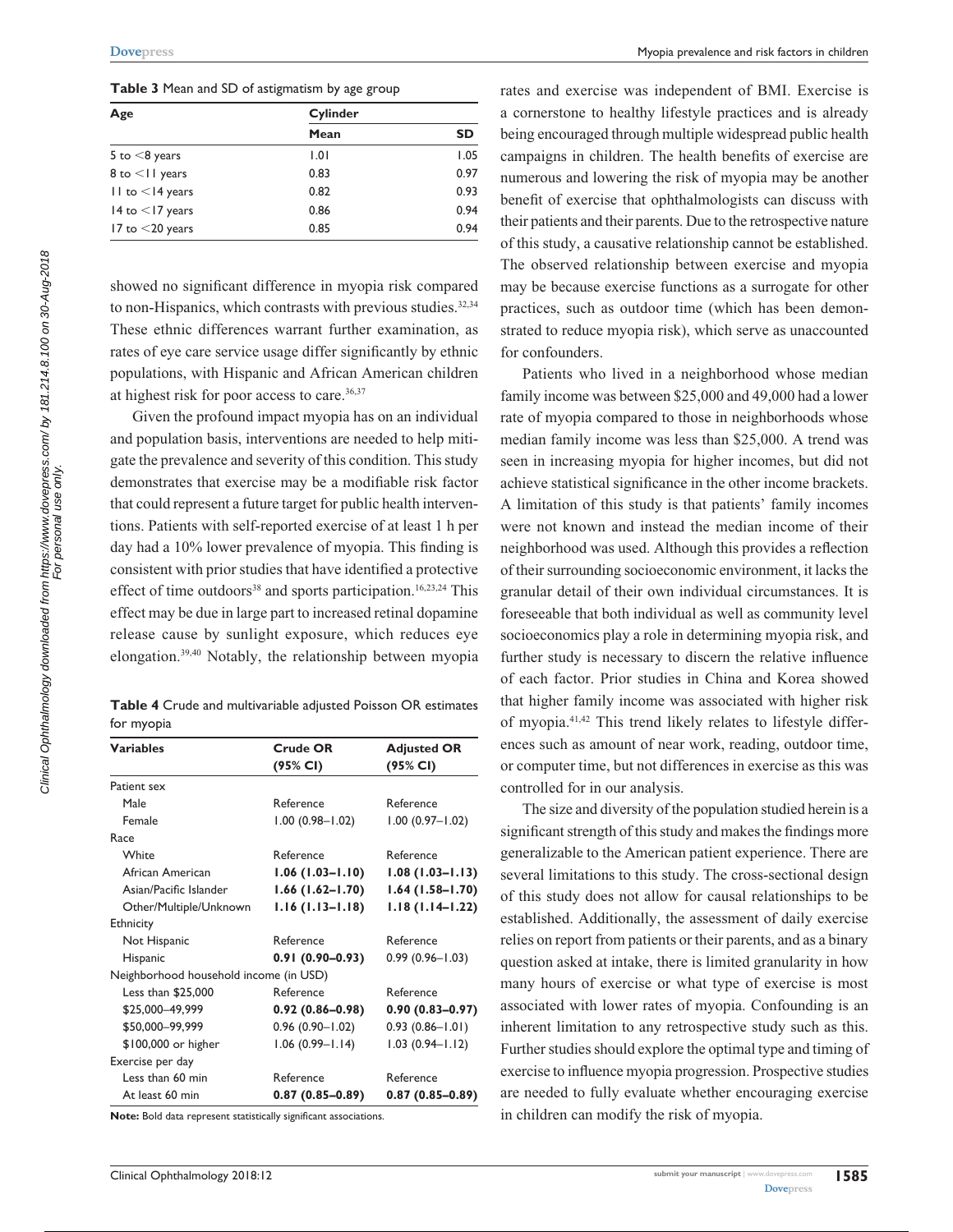**Table 3** Mean and SD of astigmatism by age group

| Age                     | Cylinder |      |
|-------------------------|----------|------|
|                         | Mean     | SD   |
| 5 to $<$ 8 years        | 1.01     | 1.05 |
| 8 to $<$ I I years      | 0.83     | 0.97 |
| $11$ to $\leq$ 14 years | 0.82     | 0.93 |
| 14 to $\leq$ 17 years   | 0.86     | 0.94 |
| 17 to $<$ 20 years      | 0.85     | 0.94 |

showed no significant difference in myopia risk compared to non-Hispanics, which contrasts with previous studies.<sup>32,34</sup> These ethnic differences warrant further examination, as rates of eye care service usage differ significantly by ethnic populations, with Hispanic and African American children at highest risk for poor access to care.36,37

Given the profound impact myopia has on an individual and population basis, interventions are needed to help mitigate the prevalence and severity of this condition. This study demonstrates that exercise may be a modifiable risk factor that could represent a future target for public health interventions. Patients with self-reported exercise of at least 1 h per day had a 10% lower prevalence of myopia. This finding is consistent with prior studies that have identified a protective effect of time outdoors<sup>38</sup> and sports participation.<sup>16,23,24</sup> This effect may be due in large part to increased retinal dopamine release cause by sunlight exposure, which reduces eye elongation.39,40 Notably, the relationship between myopia

**Table 4** Crude and multivariable adjusted Poisson OR estimates for myopia

| <b>Variables</b>                       | Crude OR            | <b>Adjusted OR</b><br>(95% CI) |  |
|----------------------------------------|---------------------|--------------------------------|--|
|                                        | (95% CI)            |                                |  |
| Patient sex                            |                     |                                |  |
| Male                                   | Reference           | Reference                      |  |
| Female                                 | $1.00(0.98 - 1.02)$ | $1.00(0.97 - 1.02)$            |  |
| Race                                   |                     |                                |  |
| White                                  | Reference           | Reference                      |  |
| African American                       | $1.06(1.03 - 1.10)$ | $1.08(1.03 - 1.13)$            |  |
| Asian/Pacific Islander                 | $1.66$ (1.62–1.70)  | 1.64 (1.58–1.70)               |  |
| Other/Multiple/Unknown                 | $1.16(1.13 - 1.18)$ | $1.18(1.14 - 1.22)$            |  |
| Ethnicity                              |                     |                                |  |
| Not Hispanic                           | Reference           | Reference                      |  |
| Hispanic                               | $0.91(0.90 - 0.93)$ | $0.99(0.96 - 1.03)$            |  |
| Neighborhood household income (in USD) |                     |                                |  |
| Less than \$25,000                     | Reference           | Reference                      |  |
| \$25,000-49,999                        | $0.92(0.86 - 0.98)$ | $0.90(0.83 - 0.97)$            |  |
| \$50,000-99,999                        | $0.96(0.90 - 1.02)$ | $0.93(0.86 - 1.01)$            |  |
| \$100,000 or higher                    | $1.06(0.99 - 1.14)$ | $1.03(0.94 - 1.12)$            |  |
| Exercise per day                       |                     |                                |  |
| Less than 60 min                       | Reference           | Reference                      |  |
| At least 60 min                        | $0.87(0.85 - 0.89)$ | $0.87(0.85 - 0.89)$            |  |

**Note:** Bold data represent statistically significant associations.

rates and exercise was independent of BMI. Exercise is a cornerstone to healthy lifestyle practices and is already being encouraged through multiple widespread public health campaigns in children. The health benefits of exercise are numerous and lowering the risk of myopia may be another benefit of exercise that ophthalmologists can discuss with their patients and their parents. Due to the retrospective nature of this study, a causative relationship cannot be established. The observed relationship between exercise and myopia may be because exercise functions as a surrogate for other practices, such as outdoor time (which has been demonstrated to reduce myopia risk), which serve as unaccounted for confounders.

Patients who lived in a neighborhood whose median family income was between \$25,000 and 49,000 had a lower rate of myopia compared to those in neighborhoods whose median family income was less than \$25,000. A trend was seen in increasing myopia for higher incomes, but did not achieve statistical significance in the other income brackets. A limitation of this study is that patients' family incomes were not known and instead the median income of their neighborhood was used. Although this provides a reflection of their surrounding socioeconomic environment, it lacks the granular detail of their own individual circumstances. It is foreseeable that both individual as well as community level socioeconomics play a role in determining myopia risk, and further study is necessary to discern the relative influence of each factor. Prior studies in China and Korea showed that higher family income was associated with higher risk of myopia.41,42 This trend likely relates to lifestyle differences such as amount of near work, reading, outdoor time, or computer time, but not differences in exercise as this was controlled for in our analysis.

The size and diversity of the population studied herein is a significant strength of this study and makes the findings more generalizable to the American patient experience. There are several limitations to this study. The cross-sectional design of this study does not allow for causal relationships to be established. Additionally, the assessment of daily exercise relies on report from patients or their parents, and as a binary question asked at intake, there is limited granularity in how many hours of exercise or what type of exercise is most associated with lower rates of myopia. Confounding is an inherent limitation to any retrospective study such as this. Further studies should explore the optimal type and timing of exercise to influence myopia progression. Prospective studies are needed to fully evaluate whether encouraging exercise in children can modify the risk of myopia.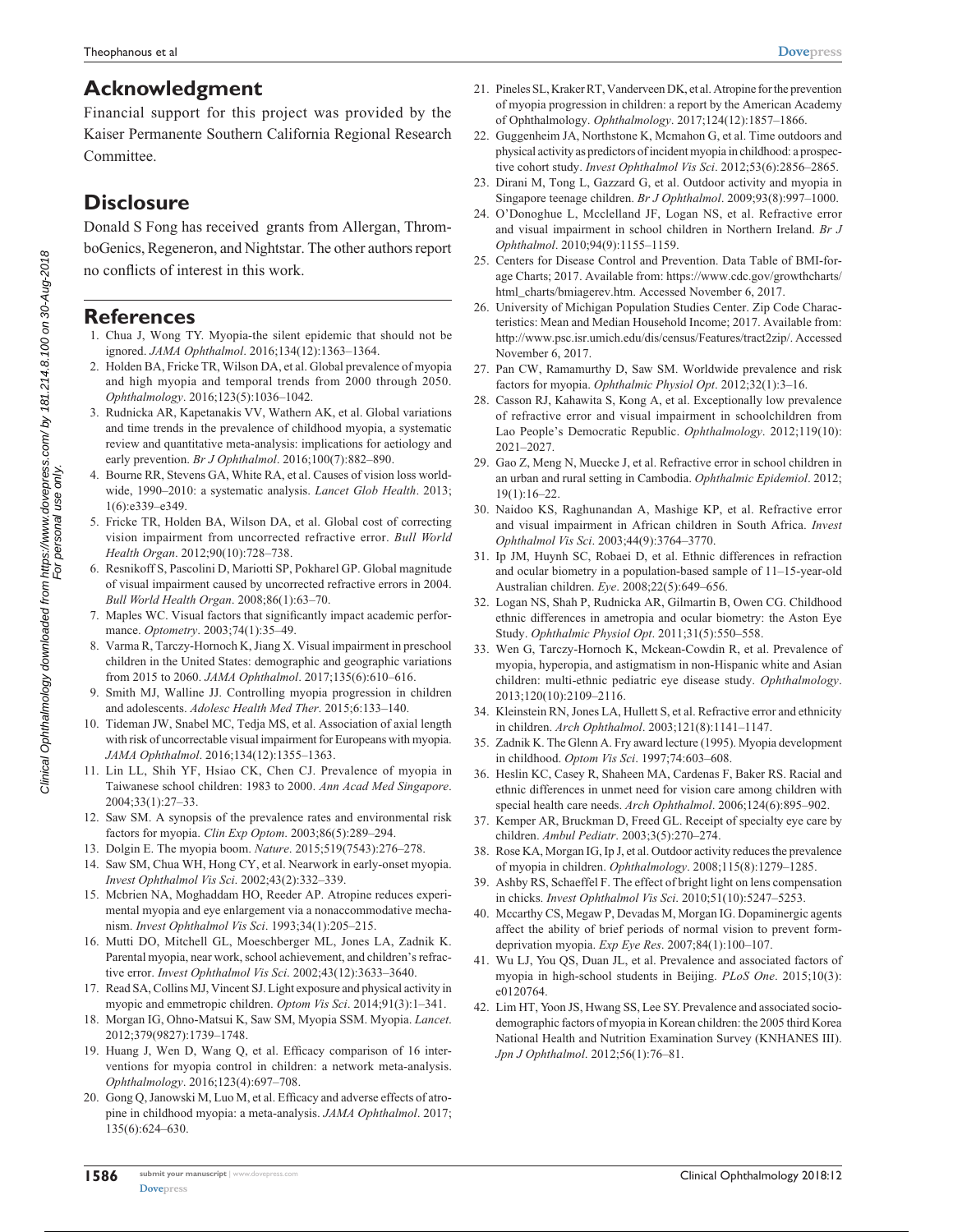# **Acknowledgment**

Financial support for this project was provided by the Kaiser Permanente Southern California Regional Research Committee.

# **Disclosure**

Donald S Fong has received grants from Allergan, ThromboGenics, Regeneron, and Nightstar. The other authors report no conflicts of interest in this work.

## **References**

- 1. Chua J, Wong TY. Myopia-the silent epidemic that should not be ignored. *JAMA Ophthalmol*. 2016;134(12):1363–1364.
- 2. Holden BA, Fricke TR, Wilson DA, et al. Global prevalence of myopia and high myopia and temporal trends from 2000 through 2050. *Ophthalmology*. 2016;123(5):1036–1042.
- 3. Rudnicka AR, Kapetanakis VV, Wathern AK, et al. Global variations and time trends in the prevalence of childhood myopia, a systematic review and quantitative meta-analysis: implications for aetiology and early prevention. *Br J Ophthalmol*. 2016;100(7):882–890.
- 4. Bourne RR, Stevens GA, White RA, et al. Causes of vision loss worldwide, 1990–2010: a systematic analysis. *Lancet Glob Health*. 2013; 1(6):e339–e349.
- 5. Fricke TR, Holden BA, Wilson DA, et al. Global cost of correcting vision impairment from uncorrected refractive error. *Bull World Health Organ*. 2012;90(10):728–738.
- 6. Resnikoff S, Pascolini D, Mariotti SP, Pokharel GP. Global magnitude of visual impairment caused by uncorrected refractive errors in 2004. *Bull World Health Organ*. 2008;86(1):63–70.
- 7. Maples WC. Visual factors that significantly impact academic performance. *Optometry*. 2003;74(1):35–49.
- 8. Varma R, Tarczy-Hornoch K, Jiang X. Visual impairment in preschool children in the United States: demographic and geographic variations from 2015 to 2060. *JAMA Ophthalmol*. 2017;135(6):610–616.
- 9. Smith MJ, Walline JJ. Controlling myopia progression in children and adolescents. *Adolesc Health Med Ther*. 2015;6:133–140.
- 10. Tideman JW, Snabel MC, Tedja MS, et al. Association of axial length with risk of uncorrectable visual impairment for Europeans with myopia. *JAMA Ophthalmol*. 2016;134(12):1355–1363.
- 11. Lin LL, Shih YF, Hsiao CK, Chen CJ. Prevalence of myopia in Taiwanese school children: 1983 to 2000. *Ann Acad Med Singapore*. 2004;33(1):27–33.
- 12. Saw SM. A synopsis of the prevalence rates and environmental risk factors for myopia. *Clin Exp Optom*. 2003;86(5):289–294.
- 13. Dolgin E. The myopia boom. *Nature*. 2015;519(7543):276–278.
- 14. Saw SM, Chua WH, Hong CY, et al. Nearwork in early-onset myopia. *Invest Ophthalmol Vis Sci*. 2002;43(2):332–339.
- 15. Mcbrien NA, Moghaddam HO, Reeder AP. Atropine reduces experimental myopia and eye enlargement via a nonaccommodative mechanism. *Invest Ophthalmol Vis Sci*. 1993;34(1):205–215.
- 16. Mutti DO, Mitchell GL, Moeschberger ML, Jones LA, Zadnik K. Parental myopia, near work, school achievement, and children's refractive error. *Invest Ophthalmol Vis Sci*. 2002;43(12):3633–3640.
- 17. Read SA, Collins MJ, Vincent SJ. Light exposure and physical activity in myopic and emmetropic children. *Optom Vis Sci*. 2014;91(3):1–341.
- 18. Morgan IG, Ohno-Matsui K, Saw SM, Myopia SSM. Myopia. *Lancet*. 2012;379(9827):1739–1748.
- 19. Huang J, Wen D, Wang Q, et al. Efficacy comparison of 16 interventions for myopia control in children: a network meta-analysis. *Ophthalmology*. 2016;123(4):697–708.
- 20. Gong Q, Janowski M, Luo M, et al. Efficacy and adverse effects of atropine in childhood myopia: a meta-analysis. *JAMA Ophthalmol*. 2017; 135(6):624–630.
- 21. Pineles SL, Kraker RT, Vanderveen DK, et al. Atropine for the prevention of myopia progression in children: a report by the American Academy of Ophthalmology. *Ophthalmology*. 2017;124(12):1857–1866.
- 22. Guggenheim JA, Northstone K, Mcmahon G, et al. Time outdoors and physical activity as predictors of incident myopia in childhood: a prospective cohort study. *Invest Ophthalmol Vis Sci*. 2012;53(6):2856–2865.
- 23. Dirani M, Tong L, Gazzard G, et al. Outdoor activity and myopia in Singapore teenage children. *Br J Ophthalmol*. 2009;93(8):997–1000.
- 24. O'Donoghue L, Mcclelland JF, Logan NS, et al. Refractive error and visual impairment in school children in Northern Ireland. *Br J Ophthalmol*. 2010;94(9):1155–1159.
- 25. Centers for Disease Control and Prevention. Data Table of BMI-forage Charts; 2017. Available from: [https://www.cdc.gov/growthcharts/](https://www.cdc.gov/growthcharts/html_charts/bmiagerev.htm) [html\\_charts/bmiagerev.htm.](https://www.cdc.gov/growthcharts/html_charts/bmiagerev.htm) Accessed November 6, 2017.
- 26. University of Michigan Population Studies Center. Zip Code Characteristics: Mean and Median Household Income; 2017. Available from: [http://www.psc.isr.umich.edu/dis/census/Features/tract2zip/.](http://www.psc.isr.umich.edu/dis/census/Features/tract2zip/) Accessed November 6, 2017.
- 27. Pan CW, Ramamurthy D, Saw SM. Worldwide prevalence and risk factors for myopia. *Ophthalmic Physiol Opt*. 2012;32(1):3–16.
- 28. Casson RJ, Kahawita S, Kong A, et al. Exceptionally low prevalence of refractive error and visual impairment in schoolchildren from Lao People's Democratic Republic. *Ophthalmology*. 2012;119(10): 2021–2027.
- 29. Gao Z, Meng N, Muecke J, et al. Refractive error in school children in an urban and rural setting in Cambodia. *Ophthalmic Epidemiol*. 2012;  $19(1):16-22.$
- 30. Naidoo KS, Raghunandan A, Mashige KP, et al. Refractive error and visual impairment in African children in South Africa. *Invest Ophthalmol Vis Sci*. 2003;44(9):3764–3770.
- 31. Ip JM, Huynh SC, Robaei D, et al. Ethnic differences in refraction and ocular biometry in a population-based sample of 11–15-year-old Australian children. *Eye*. 2008;22(5):649–656.
- 32. Logan NS, Shah P, Rudnicka AR, Gilmartin B, Owen CG. Childhood ethnic differences in ametropia and ocular biometry: the Aston Eye Study. *Ophthalmic Physiol Opt*. 2011;31(5):550–558.
- 33. Wen G, Tarczy-Hornoch K, Mckean-Cowdin R, et al. Prevalence of myopia, hyperopia, and astigmatism in non-Hispanic white and Asian children: multi-ethnic pediatric eye disease study. *Ophthalmology*. 2013;120(10):2109–2116.
- 34. Kleinstein RN, Jones LA, Hullett S, et al. Refractive error and ethnicity in children. *Arch Ophthalmol*. 2003;121(8):1141–1147.
- 35. Zadnik K. The Glenn A. Fry award lecture (1995). Myopia development in childhood. *Optom Vis Sci*. 1997;74:603–608.
- 36. Heslin KC, Casey R, Shaheen MA, Cardenas F, Baker RS. Racial and ethnic differences in unmet need for vision care among children with special health care needs. *Arch Ophthalmol*. 2006;124(6):895–902.
- 37. Kemper AR, Bruckman D, Freed GL. Receipt of specialty eye care by children. *Ambul Pediatr*. 2003;3(5):270–274.
- 38. Rose KA, Morgan IG, Ip J, et al. Outdoor activity reduces the prevalence of myopia in children. *Ophthalmology*. 2008;115(8):1279–1285.
- 39. Ashby RS, Schaeffel F. The effect of bright light on lens compensation in chicks. *Invest Ophthalmol Vis Sci*. 2010;51(10):5247–5253.
- 40. Mccarthy CS, Megaw P, Devadas M, Morgan IG. Dopaminergic agents affect the ability of brief periods of normal vision to prevent formdeprivation myopia. *Exp Eye Res*. 2007;84(1):100–107.
- 41. Wu LJ, You QS, Duan JL, et al. Prevalence and associated factors of myopia in high-school students in Beijing. *PLoS One*. 2015;10(3): e0120764.
- 42. Lim HT, Yoon JS, Hwang SS, Lee SY. Prevalence and associated sociodemographic factors of myopia in Korean children: the 2005 third Korea National Health and Nutrition Examination Survey (KNHANES III). *Jpn J Ophthalmol*. 2012;56(1):76–81.